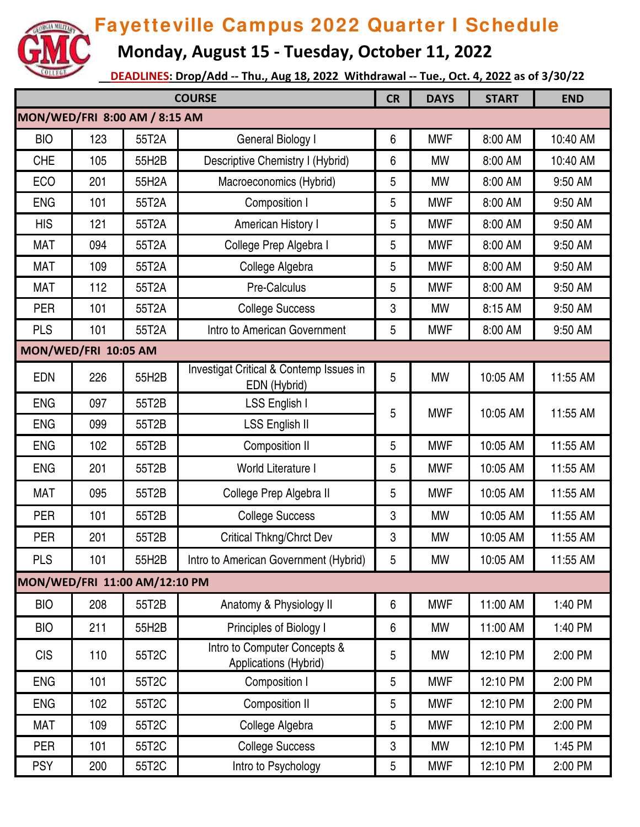

 **Monday, August 15 - Tuesday, October 11, 2022**

| <b>COURSE</b>                 |     |                               | <b>CR</b>                                               | <b>DAYS</b> | <b>START</b> | <b>END</b> |          |  |  |
|-------------------------------|-----|-------------------------------|---------------------------------------------------------|-------------|--------------|------------|----------|--|--|
| MON/WED/FRI 8:00 AM / 8:15 AM |     |                               |                                                         |             |              |            |          |  |  |
| <b>BIO</b>                    | 123 | 55T2A                         | General Biology I                                       | 6           | <b>MWF</b>   | 8:00 AM    | 10:40 AM |  |  |
| <b>CHE</b>                    | 105 | 55H2B                         | Descriptive Chemistry I (Hybrid)                        | 6           | <b>MW</b>    | 8:00 AM    | 10:40 AM |  |  |
| ECO                           | 201 | 55H2A                         | Macroeconomics (Hybrid)                                 | 5           | <b>MW</b>    | 8:00 AM    | 9:50 AM  |  |  |
| <b>ENG</b>                    | 101 | 55T2A                         | Composition I                                           | 5           | <b>MWF</b>   | 8:00 AM    | 9:50 AM  |  |  |
| <b>HIS</b>                    | 121 | 55T2A                         | American History I                                      | 5           | <b>MWF</b>   | 8:00 AM    | 9:50 AM  |  |  |
| <b>MAT</b>                    | 094 | 55T2A                         | College Prep Algebra I                                  | 5           | <b>MWF</b>   | 8:00 AM    | 9:50 AM  |  |  |
| <b>MAT</b>                    | 109 | 55T2A                         | College Algebra                                         | 5           | <b>MWF</b>   | 8:00 AM    | 9:50 AM  |  |  |
| <b>MAT</b>                    | 112 | 55T2A                         | Pre-Calculus                                            | 5           | <b>MWF</b>   | 8:00 AM    | 9:50 AM  |  |  |
| <b>PER</b>                    | 101 | 55T2A                         | <b>College Success</b>                                  | 3           | <b>MW</b>    | 8:15 AM    | 9:50 AM  |  |  |
| <b>PLS</b>                    | 101 | 55T2A                         | Intro to American Government                            | 5           | <b>MWF</b>   | 8:00 AM    | 9:50 AM  |  |  |
| MON/WED/FRI 10:05 AM          |     |                               |                                                         |             |              |            |          |  |  |
| <b>EDN</b>                    | 226 | 55H2B                         | Investigat Critical & Contemp Issues in<br>EDN (Hybrid) | 5           | <b>MW</b>    | 10:05 AM   | 11:55 AM |  |  |
| <b>ENG</b>                    | 097 | 55T2B                         | LSS English I                                           | 5           | <b>MWF</b>   | 10:05 AM   | 11:55 AM |  |  |
| <b>ENG</b>                    | 099 | 55T2B                         | <b>LSS English II</b>                                   |             |              |            |          |  |  |
| <b>ENG</b>                    | 102 | 55T2B                         | Composition II                                          | 5           | <b>MWF</b>   | 10:05 AM   | 11:55 AM |  |  |
| <b>ENG</b>                    | 201 | 55T2B                         | World Literature I                                      | 5           | <b>MWF</b>   | 10:05 AM   | 11:55 AM |  |  |
| <b>MAT</b>                    | 095 | 55T2B                         | College Prep Algebra II                                 | 5           | <b>MWF</b>   | 10:05 AM   | 11:55 AM |  |  |
| <b>PER</b>                    | 101 | 55T2B                         | <b>College Success</b>                                  | 3           | <b>MW</b>    | 10:05 AM   | 11:55 AM |  |  |
| PER                           | 201 | 55T2B                         | Critical Thkng/Chrct Dev                                | 3           | <b>MW</b>    | 10:05 AM   | 11:55 AM |  |  |
| <b>PLS</b>                    | 101 | 55H2B                         | Intro to American Government (Hybrid)                   | 5           | <b>MW</b>    | 10:05 AM   | 11:55 AM |  |  |
|                               |     | MON/WED/FRI 11:00 AM/12:10 PM |                                                         |             |              |            |          |  |  |
| <b>BIO</b>                    | 208 | 55T2B                         | Anatomy & Physiology II                                 | 6           | <b>MWF</b>   | 11:00 AM   | 1:40 PM  |  |  |
| <b>BIO</b>                    | 211 | 55H2B                         | Principles of Biology I                                 | 6           | <b>MW</b>    | 11:00 AM   | 1:40 PM  |  |  |
| <b>CIS</b>                    | 110 | 55T2C                         | Intro to Computer Concepts &<br>Applications (Hybrid)   | 5           | MW           | 12:10 PM   | 2:00 PM  |  |  |
| <b>ENG</b>                    | 101 | 55T2C                         | Composition I                                           | 5           | <b>MWF</b>   | 12:10 PM   | 2:00 PM  |  |  |
| <b>ENG</b>                    | 102 | 55T2C                         | Composition II                                          | 5           | <b>MWF</b>   | 12:10 PM   | 2:00 PM  |  |  |
| <b>MAT</b>                    | 109 | 55T2C                         | College Algebra                                         | 5           | <b>MWF</b>   | 12:10 PM   | 2:00 PM  |  |  |
| <b>PER</b>                    | 101 | 55T2C                         | <b>College Success</b>                                  | 3           | MW           | 12:10 PM   | 1:45 PM  |  |  |
| <b>PSY</b>                    | 200 | 55T2C                         | Intro to Psychology                                     | 5           | <b>MWF</b>   | 12:10 PM   | 2:00 PM  |  |  |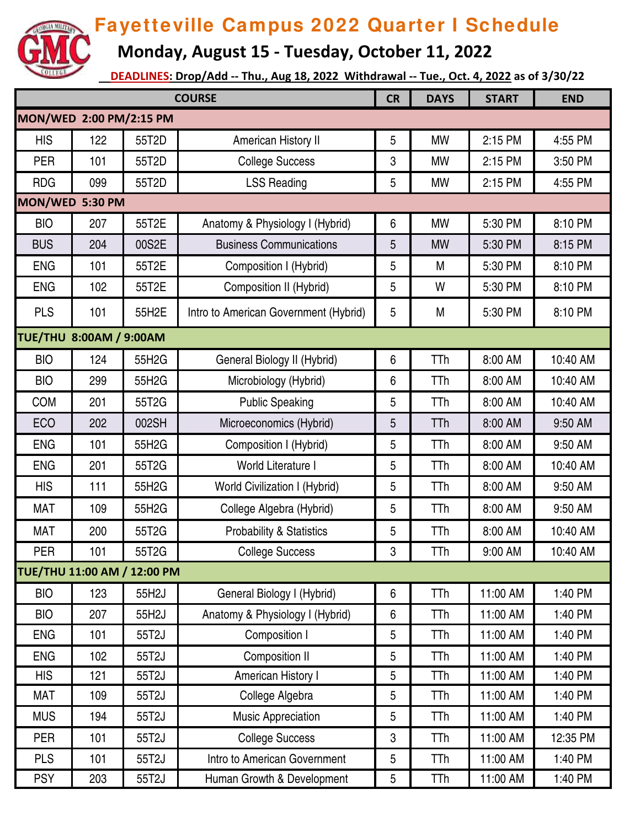

 **Monday, August 15 - Tuesday, October 11, 2022**

| <b>COURSE</b>                  |     |       | <b>CR</b>                             | <b>DAYS</b> | <b>START</b> | <b>END</b> |          |  |  |
|--------------------------------|-----|-------|---------------------------------------|-------------|--------------|------------|----------|--|--|
| MON/WED 2:00 PM/2:15 PM        |     |       |                                       |             |              |            |          |  |  |
| <b>HIS</b>                     | 122 | 55T2D | American History II                   | 5           | <b>MW</b>    | 2:15 PM    | 4:55 PM  |  |  |
| <b>PER</b>                     | 101 | 55T2D | <b>College Success</b>                | 3           | <b>MW</b>    | 2:15 PM    | 3:50 PM  |  |  |
| <b>RDG</b>                     | 099 | 55T2D | <b>LSS Reading</b>                    | 5           | <b>MW</b>    | 2:15 PM    | 4:55 PM  |  |  |
| MON/WED 5:30 PM                |     |       |                                       |             |              |            |          |  |  |
| <b>BIO</b>                     | 207 | 55T2E | Anatomy & Physiology I (Hybrid)       | 6           | <b>MW</b>    | 5:30 PM    | 8:10 PM  |  |  |
| <b>BUS</b>                     | 204 | 00S2E | <b>Business Communications</b>        | 5           | <b>MW</b>    | 5:30 PM    | 8:15 PM  |  |  |
| <b>ENG</b>                     | 101 | 55T2E | Composition I (Hybrid)                | 5           | M            | 5:30 PM    | 8:10 PM  |  |  |
| <b>ENG</b>                     | 102 | 55T2E | Composition II (Hybrid)               | 5           | W            | 5:30 PM    | 8:10 PM  |  |  |
| <b>PLS</b>                     | 101 | 55H2E | Intro to American Government (Hybrid) | 5           | M            | 5:30 PM    | 8:10 PM  |  |  |
| <b>TUE/THU 8:00AM / 9:00AM</b> |     |       |                                       |             |              |            |          |  |  |
| <b>BIO</b>                     | 124 | 55H2G | General Biology II (Hybrid)           | 6           | <b>TTh</b>   | 8:00 AM    | 10:40 AM |  |  |
| <b>BIO</b>                     | 299 | 55H2G | Microbiology (Hybrid)                 | 6           | <b>TTh</b>   | 8:00 AM    | 10:40 AM |  |  |
| COM                            | 201 | 55T2G | <b>Public Speaking</b>                | 5           | TTh          | 8:00 AM    | 10:40 AM |  |  |
| <b>ECO</b>                     | 202 | 002SH | Microeconomics (Hybrid)               | 5           | <b>TTh</b>   | 8:00 AM    | 9:50 AM  |  |  |
| <b>ENG</b>                     | 101 | 55H2G | Composition I (Hybrid)                | 5           | <b>TTh</b>   | 8:00 AM    | 9:50 AM  |  |  |
| <b>ENG</b>                     | 201 | 55T2G | World Literature I                    | 5           | <b>TTh</b>   | 8:00 AM    | 10:40 AM |  |  |
| <b>HIS</b>                     | 111 | 55H2G | <b>World Civilization I (Hybrid)</b>  | 5           | <b>TTh</b>   | 8:00 AM    | 9:50 AM  |  |  |
| <b>MAT</b>                     | 109 | 55H2G | College Algebra (Hybrid)              | 5           | TTh          | 8:00 AM    | 9:50 AM  |  |  |
| <b>MAT</b>                     | 200 | 55T2G | <b>Probability &amp; Statistics</b>   | 5           | TTh          | 8:00 AM    | 10:40 AM |  |  |
| <b>PER</b>                     | 101 | 55T2G | <b>College Success</b>                | 3           | <b>TTh</b>   | 9:00 AM    | 10:40 AM |  |  |
| TUE/THU 11:00 AM / 12:00 PM    |     |       |                                       |             |              |            |          |  |  |
| <b>BIO</b>                     | 123 | 55H2J | General Biology I (Hybrid)            | 6           | <b>TTh</b>   | 11:00 AM   | 1:40 PM  |  |  |
| <b>BIO</b>                     | 207 | 55H2J | Anatomy & Physiology I (Hybrid)       | 6           | <b>TTh</b>   | 11:00 AM   | 1:40 PM  |  |  |
| <b>ENG</b>                     | 101 | 55T2J | Composition I                         | 5           | TTh          | 11:00 AM   | 1:40 PM  |  |  |
| <b>ENG</b>                     | 102 | 55T2J | Composition II                        | 5           | <b>TTh</b>   | 11:00 AM   | 1:40 PM  |  |  |
| <b>HIS</b>                     | 121 | 55T2J | American History I                    | 5           | <b>TTh</b>   | 11:00 AM   | 1:40 PM  |  |  |
| <b>MAT</b>                     | 109 | 55T2J | College Algebra                       | 5           | <b>TTh</b>   | 11:00 AM   | 1:40 PM  |  |  |
| <b>MUS</b>                     | 194 | 55T2J | Music Appreciation                    | 5           | TTh          | 11:00 AM   | 1:40 PM  |  |  |
| PER                            | 101 | 55T2J | <b>College Success</b>                | 3           | <b>TTh</b>   | 11:00 AM   | 12:35 PM |  |  |
| <b>PLS</b>                     | 101 | 55T2J | Intro to American Government          | 5           | <b>TTh</b>   | 11:00 AM   | 1:40 PM  |  |  |
| <b>PSY</b>                     | 203 | 55T2J | Human Growth & Development            | 5           | TTh          | 11:00 AM   | 1:40 PM  |  |  |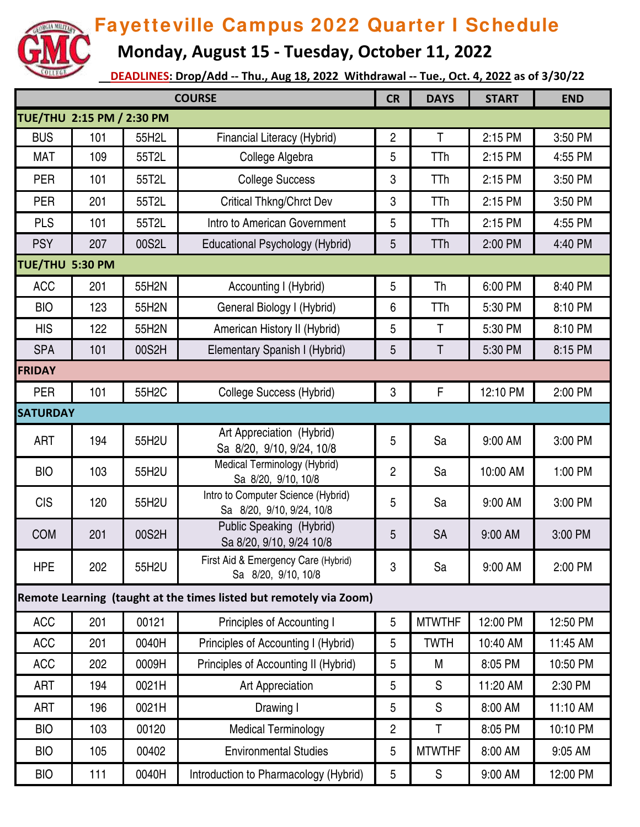

 **Monday, August 15 - Tuesday, October 11, 2022**

| <b>COURSE</b>             |     |       | <b>CR</b>                                                          | <b>DAYS</b>    | <b>START</b>  | <b>END</b> |          |  |
|---------------------------|-----|-------|--------------------------------------------------------------------|----------------|---------------|------------|----------|--|
| TUE/THU 2:15 PM / 2:30 PM |     |       |                                                                    |                |               |            |          |  |
| <b>BUS</b>                | 101 | 55H2L | Financial Literacy (Hybrid)                                        | $\overline{2}$ | T             | 2:15 PM    | 3:50 PM  |  |
| <b>MAT</b>                | 109 | 55T2L | College Algebra                                                    | 5              | TTh           | 2:15 PM    | 4:55 PM  |  |
| <b>PER</b>                | 101 | 55T2L | <b>College Success</b>                                             | 3              | TTh           | 2:15 PM    | 3:50 PM  |  |
| <b>PER</b>                | 201 | 55T2L | <b>Critical Thkng/Chrct Dev</b>                                    | 3              | TTh           | 2:15 PM    | 3:50 PM  |  |
| <b>PLS</b>                | 101 | 55T2L | Intro to American Government                                       | 5              | TTh           | 2:15 PM    | 4:55 PM  |  |
| <b>PSY</b>                | 207 | 00S2L | Educational Psychology (Hybrid)                                    | 5              | <b>TTh</b>    | 2:00 PM    | 4:40 PM  |  |
| TUE/THU 5:30 PM           |     |       |                                                                    |                |               |            |          |  |
| <b>ACC</b>                | 201 | 55H2N | Accounting I (Hybrid)                                              | 5              | Th            | 6:00 PM    | 8:40 PM  |  |
| <b>BIO</b>                | 123 | 55H2N | General Biology I (Hybrid)                                         | 6              | TTh           | 5:30 PM    | 8:10 PM  |  |
| <b>HIS</b>                | 122 | 55H2N | American History II (Hybrid)                                       | 5              | $\mathsf T$   | 5:30 PM    | 8:10 PM  |  |
| <b>SPA</b>                | 101 | 00S2H | Elementary Spanish I (Hybrid)                                      | 5              | Τ             | 5:30 PM    | 8:15 PM  |  |
| <b>FRIDAY</b>             |     |       |                                                                    |                |               |            |          |  |
| <b>PER</b>                | 101 | 55H2C | <b>College Success (Hybrid)</b>                                    | 3              | F             | 12:10 PM   | 2:00 PM  |  |
| <b>SATURDAY</b>           |     |       |                                                                    |                |               |            |          |  |
| <b>ART</b>                | 194 | 55H2U | Art Appreciation (Hybrid)<br>Sa 8/20, 9/10, 9/24, 10/8             | 5              | Sa            | 9:00 AM    | 3:00 PM  |  |
| <b>BIO</b>                | 103 | 55H2U | Medical Terminology (Hybrid)<br>Sa 8/20, 9/10, 10/8                | $\overline{2}$ | Sa            | 10:00 AM   | 1:00 PM  |  |
| <b>CIS</b>                | 120 | 55H2U | Intro to Computer Science (Hybrid)<br>Sa 8/20, 9/10, 9/24, 10/8    | 5              | Sa            | 9:00 AM    | 3:00 PM  |  |
| <b>COM</b>                | 201 | 00S2H | Public Speaking (Hybrid)<br>Sa 8/20, 9/10, 9/24 10/8               | 5              | <b>SA</b>     | 9:00 AM    | 3:00 PM  |  |
| <b>HPE</b>                | 202 | 55H2U | First Aid & Emergency Care (Hybrid)<br>Sa 8/20, 9/10, 10/8         | 3              | Sa            | 9:00 AM    | 2:00 PM  |  |
|                           |     |       | Remote Learning (taught at the times listed but remotely via Zoom) |                |               |            |          |  |
| <b>ACC</b>                | 201 | 00121 | <b>Principles of Accounting I</b>                                  | $\overline{5}$ | <b>MTWTHF</b> | 12:00 PM   | 12:50 PM |  |
| <b>ACC</b>                | 201 | 0040H | Principles of Accounting I (Hybrid)                                | 5              | <b>TWTH</b>   | 10:40 AM   | 11:45 AM |  |
| <b>ACC</b>                | 202 | 0009H | Principles of Accounting II (Hybrid)                               | 5              | M             | 8:05 PM    | 10:50 PM |  |
| ART                       | 194 | 0021H | Art Appreciation                                                   | 5              | S             | 11:20 AM   | 2:30 PM  |  |
| <b>ART</b>                | 196 | 0021H | Drawing I                                                          | 5              | S             | 8:00 AM    | 11:10 AM |  |
| <b>BIO</b>                | 103 | 00120 | <b>Medical Terminology</b>                                         | $\overline{2}$ | Τ             | 8:05 PM    | 10:10 PM |  |
| <b>BIO</b>                | 105 | 00402 | <b>Environmental Studies</b>                                       | 5              | <b>MTWTHF</b> | 8:00 AM    | 9:05 AM  |  |
| <b>BIO</b>                | 111 | 0040H | Introduction to Pharmacology (Hybrid)                              | 5              | ${\sf S}$     | 9:00 AM    | 12:00 PM |  |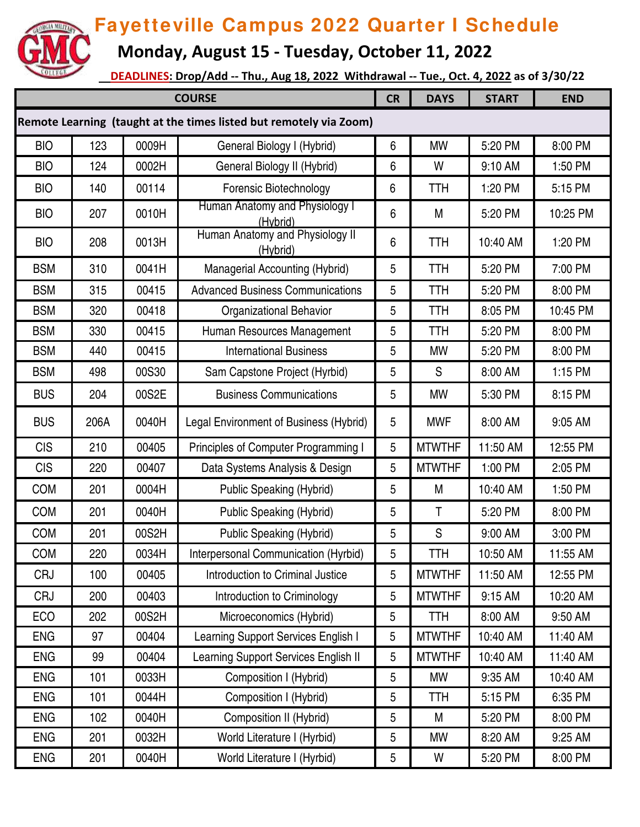

 **Monday, August 15 - Tuesday, October 11, 2022**

| <b>COURSE</b>                                                      |      |       |                                             | <b>CR</b> | <b>DAYS</b>   | <b>START</b> | <b>END</b> |  |  |
|--------------------------------------------------------------------|------|-------|---------------------------------------------|-----------|---------------|--------------|------------|--|--|
| Remote Learning (taught at the times listed but remotely via Zoom) |      |       |                                             |           |               |              |            |  |  |
| <b>BIO</b>                                                         | 123  | 0009H | General Biology I (Hybrid)                  | $6\,$     | <b>MW</b>     | 5:20 PM      | 8:00 PM    |  |  |
| <b>BIO</b>                                                         | 124  | 0002H | General Biology II (Hybrid)                 | 6         | W             | 9:10 AM      | 1:50 PM    |  |  |
| <b>BIO</b>                                                         | 140  | 00114 | Forensic Biotechnology                      | 6         | <b>TTH</b>    | 1:20 PM      | 5:15 PM    |  |  |
| <b>BIO</b>                                                         | 207  | 0010H | Human Anatomy and Physiology I<br>(Hybrid)  | 6         | M             | 5:20 PM      | 10:25 PM   |  |  |
| <b>BIO</b>                                                         | 208  | 0013H | Human Anatomy and Physiology II<br>(Hybrid) | 6         | TTH           | 10:40 AM     | 1:20 PM    |  |  |
| <b>BSM</b>                                                         | 310  | 0041H | Managerial Accounting (Hybrid)              | 5         | <b>TTH</b>    | 5:20 PM      | 7:00 PM    |  |  |
| <b>BSM</b>                                                         | 315  | 00415 | <b>Advanced Business Communications</b>     | 5         | <b>TTH</b>    | 5:20 PM      | 8:00 PM    |  |  |
| <b>BSM</b>                                                         | 320  | 00418 | <b>Organizational Behavior</b>              | 5         | <b>TTH</b>    | 8:05 PM      | 10:45 PM   |  |  |
| <b>BSM</b>                                                         | 330  | 00415 | Human Resources Management                  | 5         | <b>TTH</b>    | 5:20 PM      | 8:00 PM    |  |  |
| <b>BSM</b>                                                         | 440  | 00415 | <b>International Business</b>               | 5         | <b>MW</b>     | 5:20 PM      | 8:00 PM    |  |  |
| <b>BSM</b>                                                         | 498  | 00S30 | Sam Capstone Project (Hyrbid)               | 5         | S             | 8:00 AM      | 1:15 PM    |  |  |
| <b>BUS</b>                                                         | 204  | 00S2E | <b>Business Communications</b>              | 5         | <b>MW</b>     | 5:30 PM      | 8:15 PM    |  |  |
| <b>BUS</b>                                                         | 206A | 0040H | Legal Environment of Business (Hybrid)      | 5         | <b>MWF</b>    | 8:00 AM      | 9:05 AM    |  |  |
| <b>CIS</b>                                                         | 210  | 00405 | Principles of Computer Programming I        | 5         | <b>MTWTHF</b> | 11:50 AM     | 12:55 PM   |  |  |
| <b>CIS</b>                                                         | 220  | 00407 | Data Systems Analysis & Design              | 5         | <b>MTWTHF</b> | 1:00 PM      | 2:05 PM    |  |  |
| <b>COM</b>                                                         | 201  | 0004H | <b>Public Speaking (Hybrid)</b>             | 5         | M             | 10:40 AM     | 1:50 PM    |  |  |
| <b>COM</b>                                                         | 201  | 0040H | Public Speaking (Hybrid)                    | 5         | T             | 5:20 PM      | 8:00 PM    |  |  |
| <b>COM</b>                                                         | 201  | 00S2H | <b>Public Speaking (Hybrid)</b>             | 5         | ${\mathsf S}$ | 9:00 AM      | 3:00 PM    |  |  |
| <b>COM</b>                                                         | 220  | 0034H | Interpersonal Communication (Hyrbid)        | 5         | TTH           | 10:50 AM     | 11:55 AM   |  |  |
| <b>CRJ</b>                                                         | 100  | 00405 | Introduction to Criminal Justice            | 5         | <b>MTWTHF</b> | 11:50 AM     | 12:55 PM   |  |  |
| <b>CRJ</b>                                                         | 200  | 00403 | Introduction to Criminology                 | 5         | <b>MTWTHF</b> | 9:15 AM      | 10:20 AM   |  |  |
| ECO                                                                | 202  | 00S2H | Microeconomics (Hybrid)                     | 5         | TTH           | 8:00 AM      | 9:50 AM    |  |  |
| <b>ENG</b>                                                         | 97   | 00404 | Learning Support Services English I         | 5         | <b>MTWTHF</b> | 10:40 AM     | 11:40 AM   |  |  |
| <b>ENG</b>                                                         | 99   | 00404 | Learning Support Services English II        | 5         | <b>MTWTHF</b> | 10:40 AM     | 11:40 AM   |  |  |
| <b>ENG</b>                                                         | 101  | 0033H | Composition I (Hybrid)                      | 5         | MW            | 9:35 AM      | 10:40 AM   |  |  |
| <b>ENG</b>                                                         | 101  | 0044H | Composition I (Hybrid)                      | 5         | TTH           | 5:15 PM      | 6:35 PM    |  |  |
| <b>ENG</b>                                                         | 102  | 0040H | Composition II (Hybrid)                     | 5         | М             | 5:20 PM      | 8:00 PM    |  |  |
| <b>ENG</b>                                                         | 201  | 0032H | World Literature I (Hyrbid)                 | 5         | MW            | 8:20 AM      | 9:25 AM    |  |  |
| <b>ENG</b>                                                         | 201  | 0040H | World Literature I (Hyrbid)                 | 5         | W             | 5:20 PM      | 8:00 PM    |  |  |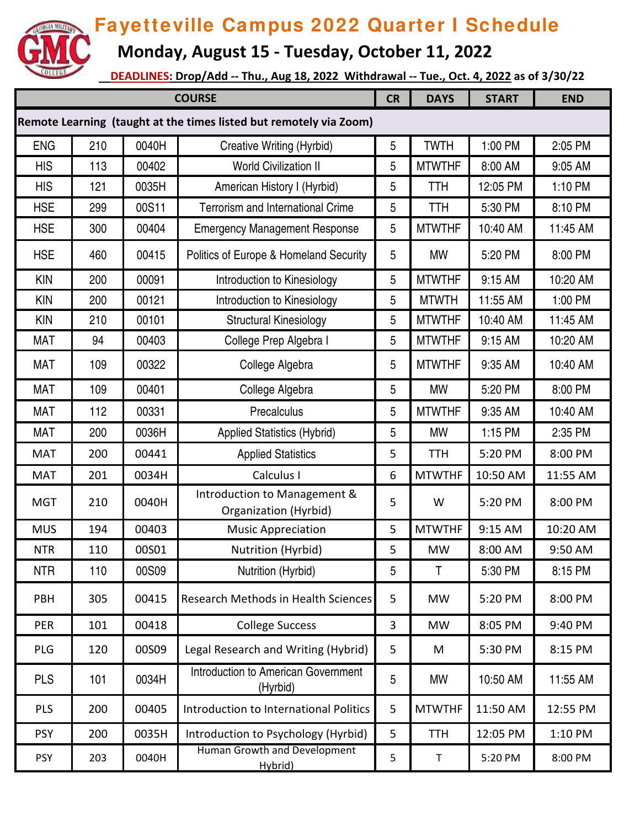

 **Monday, August 15 - Tuesday, October 11, 2022**

| <b>COURSE</b>                                                      |     |       |                                                              | <b>CR</b> | <b>DAYS</b>   | <b>START</b> | <b>END</b> |  |  |
|--------------------------------------------------------------------|-----|-------|--------------------------------------------------------------|-----------|---------------|--------------|------------|--|--|
| Remote Learning (taught at the times listed but remotely via Zoom) |     |       |                                                              |           |               |              |            |  |  |
| <b>ENG</b>                                                         | 210 | 0040H | Creative Writing (Hyrbid)                                    | 5         | <b>TWTH</b>   | 1:00 PM      | 2:05 PM    |  |  |
| <b>HIS</b>                                                         | 113 | 00402 | <b>World Civilization II</b>                                 | 5         | <b>MTWTHF</b> | 8:00 AM      | 9:05 AM    |  |  |
| <b>HIS</b>                                                         | 121 | 0035H | American History I (Hyrbid)                                  | 5         | <b>TTH</b>    | 12:05 PM     | 1:10 PM    |  |  |
| <b>HSE</b>                                                         | 299 | 00S11 | <b>Terrorism and International Crime</b>                     | 5         | <b>TTH</b>    | 5:30 PM      | 8:10 PM    |  |  |
| <b>HSE</b>                                                         | 300 | 00404 | <b>Emergency Management Response</b>                         | 5         | <b>MTWTHF</b> | 10:40 AM     | 11:45 AM   |  |  |
| <b>HSE</b>                                                         | 460 | 00415 | Politics of Europe & Homeland Security                       | 5         | <b>MW</b>     | 5:20 PM      | 8:00 PM    |  |  |
| <b>KIN</b>                                                         | 200 | 00091 | Introduction to Kinesiology                                  | 5         | <b>MTWTHF</b> | 9:15 AM      | 10:20 AM   |  |  |
| <b>KIN</b>                                                         | 200 | 00121 | Introduction to Kinesiology                                  | 5         | <b>MTWTH</b>  | 11:55 AM     | 1:00 PM    |  |  |
| <b>KIN</b>                                                         | 210 | 00101 | <b>Structural Kinesiology</b>                                | 5         | <b>MTWTHF</b> | 10:40 AM     | 11:45 AM   |  |  |
| <b>MAT</b>                                                         | 94  | 00403 | College Prep Algebra I                                       | 5         | <b>MTWTHF</b> | 9:15 AM      | 10:20 AM   |  |  |
| <b>MAT</b>                                                         | 109 | 00322 | College Algebra                                              | 5         | <b>MTWTHF</b> | 9:35 AM      | 10:40 AM   |  |  |
| <b>MAT</b>                                                         | 109 | 00401 | College Algebra                                              | 5         | <b>MW</b>     | 5:20 PM      | 8:00 PM    |  |  |
| <b>MAT</b>                                                         | 112 | 00331 | Precalculus                                                  | 5         | <b>MTWTHF</b> | 9:35 AM      | 10:40 AM   |  |  |
| <b>MAT</b>                                                         | 200 | 0036H | <b>Applied Statistics (Hybrid)</b>                           | 5         | <b>MW</b>     | 1:15 PM      | 2:35 PM    |  |  |
| <b>MAT</b>                                                         | 200 | 00441 | <b>Applied Statistics</b>                                    | 5         | <b>TTH</b>    | 5:20 PM      | 8:00 PM    |  |  |
| <b>MAT</b>                                                         | 201 | 0034H | Calculus I                                                   | 6         | <b>MTWTHF</b> | 10:50 AM     | 11:55 AM   |  |  |
| <b>MGT</b>                                                         | 210 | 0040H | Introduction to Management &<br><b>Organization (Hyrbid)</b> | 5         | W             | 5:20 PM      | 8:00 PM    |  |  |
| <b>MUS</b>                                                         | 194 | 00403 | <b>Music Appreciation</b>                                    | 5         | <b>MTWTHF</b> | 9:15 AM      | 10:20 AM   |  |  |
| <b>NTR</b>                                                         | 110 | 00S01 | Nutrition (Hyrbid)                                           | 5         | <b>MW</b>     | 8:00 AM      | 9:50 AM    |  |  |
| <b>NTR</b>                                                         | 110 | 00S09 | Nutrition (Hyrbid)                                           | 5         | T             | 5:30 PM      | 8:15 PM    |  |  |
| <b>PBH</b>                                                         | 305 | 00415 | Research Methods in Health Sciences                          | 5         | <b>MW</b>     | 5:20 PM      | 8:00 PM    |  |  |
| PER                                                                | 101 | 00418 | <b>College Success</b>                                       | 3         | <b>MW</b>     | 8:05 PM      | 9:40 PM    |  |  |
| PLG                                                                | 120 | 00S09 | Legal Research and Writing (Hybrid)                          | 5         | M             | 5:30 PM      | 8:15 PM    |  |  |
| <b>PLS</b>                                                         | 101 | 0034H | Introduction to American Government<br>(Hyrbid)              | 5         | MW            | 10:50 AM     | 11:55 AM   |  |  |
| <b>PLS</b>                                                         | 200 | 00405 | Introduction to International Politics                       | 5         | <b>MTWTHF</b> | 11:50 AM     | 12:55 PM   |  |  |
| <b>PSY</b>                                                         | 200 | 0035H | Introduction to Psychology (Hyrbid)                          | 5         | <b>TTH</b>    | 12:05 PM     | 1:10 PM    |  |  |
| <b>PSY</b>                                                         | 203 | 0040H | Human Growth and Development<br>Hybrid)                      | 5         | Τ             | 5:20 PM      | 8:00 PM    |  |  |